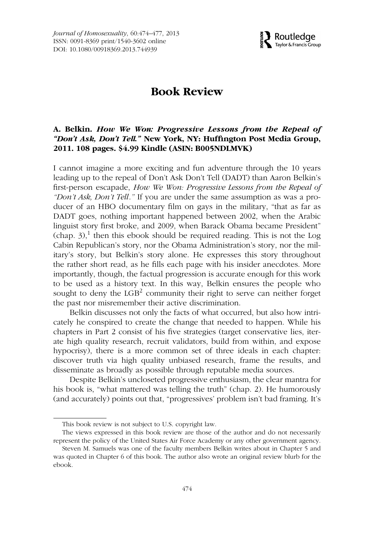

## **Book Review**

## **A. Belkin.** *How We Won: Progressive Lessons from the Repeal of "Don't Ask, Don't Tell."* **New York, NY: Huffington Post Media Group, 2011. 108 pages. \$4.99 Kindle (ASIN: B005NDLMVK)**

I cannot imagine a more exciting and fun adventure through the 10 years leading up to the repeal of Don't Ask Don't Tell (DADT) than Aaron Belkin's first-person escapade, *How We Won: Progressive Lessons from the Repeal of "Don't Ask, Don't Tell*.*"* If you are under the same assumption as was a producer of an HBO documentary film on gays in the military, "that as far as DADT goes, nothing important happened between 2002, when the Arabic linguist story first broke, and 2009, when Barack Obama became President"  $(\text{chap. } 3)$ ,<sup>1</sup> then this ebook should be required reading. This is not the Log Cabin Republican's story, nor the Obama Administration's story, nor the military's story, but Belkin's story alone. He expresses this story throughout the rather short read, as he fills each page with his insider anecdotes. More importantly, though, the factual progression is accurate enough for this work to be used as a history text. In this way, Belkin ensures the people who sought to deny the  $LGB<sup>2</sup>$  community their right to serve can neither forget the past nor misremember their active discrimination.

Belkin discusses not only the facts of what occurred, but also how intricately he conspired to create the change that needed to happen. While his chapters in Part 2 consist of his five strategies (target conservative lies, iterate high quality research, recruit validators, build from within, and expose hypocrisy), there is a more common set of three ideals in each chapter: discover truth via high quality unbiased research, frame the results, and disseminate as broadly as possible through reputable media sources.

Despite Belkin's uncloseted progressive enthusiasm, the clear mantra for his book is, "what mattered was telling the truth" (chap. 2). He humorously (and accurately) points out that, "progressives' problem isn't bad framing. It's

This book review is not subject to U.S. copyright law.

The views expressed in this book review are those of the author and do not necessarily represent the policy of the United States Air Force Academy or any other government agency.

Steven M. Samuels was one of the faculty members Belkin writes about in Chapter 5 and was quoted in Chapter 6 of this book. The author also wrote an original review blurb for the ebook.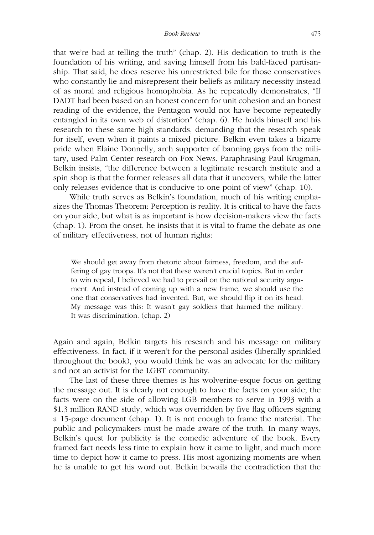that we're bad at telling the truth" (chap. 2). His dedication to truth is the foundation of his writing, and saving himself from his bald-faced partisanship. That said, he does reserve his unrestricted bile for those conservatives who constantly lie and misrepresent their beliefs as military necessity instead of as moral and religious homophobia. As he repeatedly demonstrates, "If DADT had been based on an honest concern for unit cohesion and an honest reading of the evidence, the Pentagon would not have become repeatedly entangled in its own web of distortion" (chap. 6). He holds himself and his research to these same high standards, demanding that the research speak for itself, even when it paints a mixed picture. Belkin even takes a bizarre pride when Elaine Donnelly, arch supporter of banning gays from the military, used Palm Center research on Fox News. Paraphrasing Paul Krugman, Belkin insists, "the difference between a legitimate research institute and a spin shop is that the former releases all data that it uncovers, while the latter only releases evidence that is conducive to one point of view" (chap. 10).

While truth serves as Belkin's foundation, much of his writing emphasizes the Thomas Theorem: Perception is reality. It is critical to have the facts on your side, but what is as important is how decision-makers view the facts (chap. 1). From the onset, he insists that it is vital to frame the debate as one of military effectiveness, not of human rights:

We should get away from rhetoric about fairness, freedom, and the suffering of gay troops. It's not that these weren't crucial topics. But in order to win repeal, I believed we had to prevail on the national security argument. And instead of coming up with a new frame, we should use the one that conservatives had invented. But, we should flip it on its head. My message was this: It wasn't gay soldiers that harmed the military. It was discrimination. (chap. 2)

Again and again, Belkin targets his research and his message on military effectiveness. In fact, if it weren't for the personal asides (liberally sprinkled throughout the book), you would think he was an advocate for the military and not an activist for the LGBT community.

The last of these three themes is his wolverine-esque focus on getting the message out. It is clearly not enough to have the facts on your side; the facts were on the side of allowing LGB members to serve in 1993 with a \$1.3 million RAND study, which was overridden by five flag officers signing a 15-page document (chap. 1). It is not enough to frame the material. The public and policymakers must be made aware of the truth. In many ways, Belkin's quest for publicity is the comedic adventure of the book. Every framed fact needs less time to explain how it came to light, and much more time to depict how it came to press. His most agonizing moments are when he is unable to get his word out. Belkin bewails the contradiction that the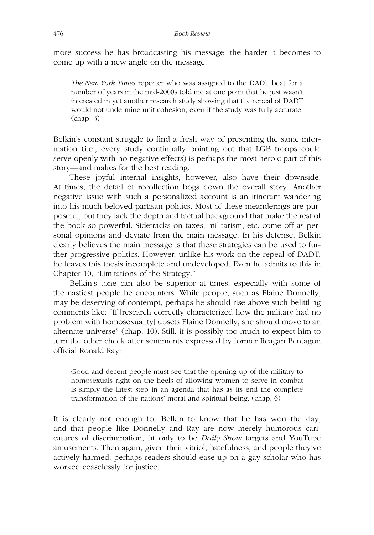more success he has broadcasting his message, the harder it becomes to come up with a new angle on the message:

*The New York Times* reporter who was assigned to the DADT beat for a number of years in the mid-2000s told me at one point that he just wasn't interested in yet another research study showing that the repeal of DADT would not undermine unit cohesion, even if the study was fully accurate. (chap. 3)

Belkin's constant struggle to find a fresh way of presenting the same information (i.e., every study continually pointing out that LGB troops could serve openly with no negative effects) is perhaps the most heroic part of this story—and makes for the best reading.

These joyful internal insights, however, also have their downside. At times, the detail of recollection bogs down the overall story. Another negative issue with such a personalized account is an itinerant wandering into his much beloved partisan politics. Most of these meanderings are purposeful, but they lack the depth and factual background that make the rest of the book so powerful. Sidetracks on taxes, militarism, etc. come off as personal opinions and deviate from the main message. In his defense, Belkin clearly believes the main message is that these strategies can be used to further progressive politics. However, unlike his work on the repeal of DADT, he leaves this thesis incomplete and undeveloped. Even he admits to this in Chapter 10, "Limitations of the Strategy."

Belkin's tone can also be superior at times, especially with some of the nastiest people he encounters. While people, such as Elaine Donnelly, may be deserving of contempt, perhaps he should rise above such belittling comments like: "If [research correctly characterized how the military had no problem with homosexuality] upsets Elaine Donnelly, she should move to an alternate universe" (chap. 10). Still, it is possibly too much to expect him to turn the other cheek after sentiments expressed by former Reagan Pentagon official Ronald Ray:

Good and decent people must see that the opening up of the military to homosexuals right on the heels of allowing women to serve in combat is simply the latest step in an agenda that has as its end the complete transformation of the nations' moral and spiritual being. (chap. 6)

It is clearly not enough for Belkin to know that he has won the day, and that people like Donnelly and Ray are now merely humorous caricatures of discrimination, fit only to be *Daily Show* targets and YouTube amusements. Then again, given their vitriol, hatefulness, and people they've actively harmed, perhaps readers should ease up on a gay scholar who has worked ceaselessly for justice.